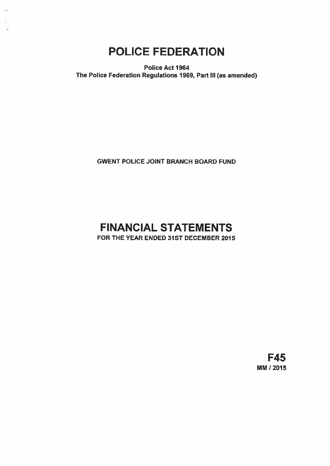# POLICE FEDERATION

.<br>Nati

Police Act 1964 The Police Federation Regulations 1969, Part Ill (as amended)

GWENT POLICE JOINT BRANCH BOARD FUND

# FINANCIAL STATEMENTS FOR THE YEAR ENDED 31ST DECEMBER 2015

F45 MM! 2015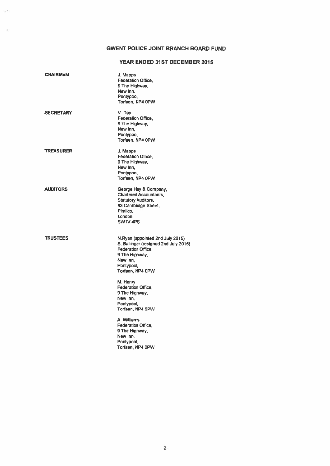# GWENT POLICE JOINT BRANCH BOARD FUND

# YEAR ENDED 31ST DECEMBER 2015

| <b>CHAIRMAN</b>  | J. Mapps<br><b>Federation Office,</b><br>9 The Highway,<br>New Inn,<br>Pontypool,<br>Torfaen, NP4 0PW                                                                  |
|------------------|------------------------------------------------------------------------------------------------------------------------------------------------------------------------|
| <b>SECRETARY</b> | V. Day<br>Federation Office,<br>9 The Highway,<br>New Inn,<br>Pontypool,<br>Torfaen, NP4 0PW                                                                           |
| <b>TREASURER</b> | J. Mapps<br><b>Federation Office,</b><br>9 The Highway,<br>New Inn,<br>Pontypool,<br>Torfaen, NP4 0PW                                                                  |
| <b>AUDITORS</b>  | George Hay & Company,<br><b>Chartered Accountants,</b><br><b>Statutory Auditors,</b><br>83 Cambridge Street,<br>Pimlico,<br>London.<br>SW1V <sub>4PS</sub>             |
| <b>TRUSTEES</b>  | N.Ryan (appointed 2nd July 2015)<br>S. Ballinger (resigned 2nd July 2015)<br><b>Federation Office,</b><br>9 The Highway,<br>New Inn,<br>Pontypool,<br>Torfaen, NP4 OPW |
|                  | M. Henry<br><b>Federation Office.</b><br>9 The Highway,<br>New Inn,<br>Pontypool,<br>Torfaen, NP4 0PW                                                                  |
|                  | A. Williams<br><b>Federation Office.</b><br>9 The Highway,<br>New Inn,<br>Pontypool,<br>Torfaen, NP4 OPW                                                               |
|                  |                                                                                                                                                                        |

S.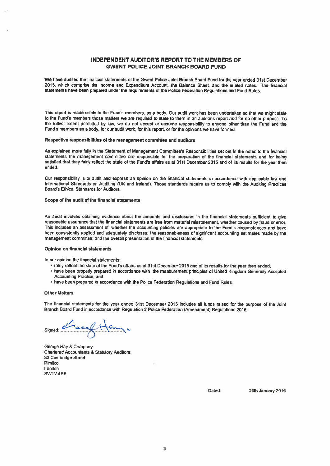# INDEPENDENT AUDITOR'S REPORT TO THE MEMBERS OF GWENT POLICE JOINT BRANCH BOARD FUND

We have audited the financial statements of the Gwent Police Joint Branch Board Fund for the year ended 31st December 2015, which comprise the Income and Expenditure Account, the Balance Sheet, and the related notes. The financial statements have been prepare<sup>d</sup> under the requirements of the Police Federation Regulations and Fund Rules.

This repor<sup>t</sup> is made solely to the Fund's members, as <sup>a</sup> body. Our audit work has been undertaken so that we might state to the Fund's members those matters we are required to state to them in an auditor's repor<sup>t</sup> and for no other purpose. To the fullest extent permitted by law, we do not accep<sup>t</sup> or assume responsibility to anyone other than the Fund and the Fund's members as a body, for our audit work, for this report, or for the opinions we have formed.

#### Respective responsibilities of the managemen<sup>t</sup> committee and auditors

As explained more fully in the Statement of Management Committee's Responsibilities set out in the notes to the financial statements the managemen<sup>t</sup> committee are responsible for the preparation of the financial statements and for being satisfied that they fairly reflect the state of the Fund's affairs as at 31st December <sup>2015</sup> and of its results for the year then ended.

Our responsibility is to audit and express an opinion on the financial statements in accordance with applicable law and International Standards on Auditing (UK and Ireland), Those standards require us to comply with the Auditing Practices Board's Ethical Standards for Auditors,

#### Scope of the audit of the financial statements

An audit involves obtaining evidence about the amounts and disclosures in the financial statements sufficient to <sup>g</sup>ive reasonable assurance that the financial statements are free from material misstatement, whether caused by fraud or error. This includes an assessment of: whether the accounting policies are appropriate to the Fund's circumstances and have been consistently applied and adequately disclosed; the reasonableness of significant accounting estimates made by the managemen<sup>t</sup> committee; and the overall presentation of the financial statements.

#### Opinion on financial statements

In our opinion the financial statements:

- fairly reflect the state of the Fund's affairs as at 31st December <sup>2015</sup> and of its results for the year then ended;
- have been properly prepare<sup>d</sup> in accordance with the measurement principles of United Kingdom Generally Accepted Accounting Praclice; and
- have been prepared in accordance with the Police Federation Regulations and Fund Rules.

#### Other Matters

The financial statements for the year ended 31st December <sup>2015</sup> includes all funds raised for the purpose of the Joint Branch Board Fund in accordance with Regulation <sup>2</sup> Police Federation (Amendment) Regulations 2015,

CoalHan Signed:

George hay & Company Chartered Accountants & Statutory Auditors B3 Cambridge Street Pimlico London SW1V4PS

Dated: 26th January 2016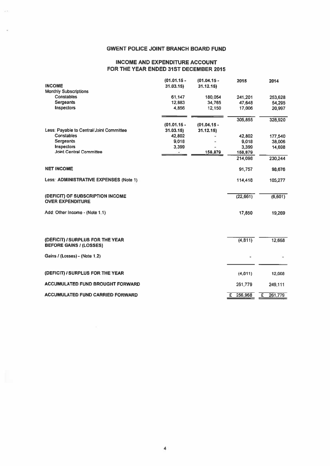# GWENT POLICE JOINT BRANCH BOARD FUND

# INCOME AND EXPENDITURE ACCOUNT FOR THE YEAR ENDED 31ST DECEMBER 2015

| <b>GWENT POLICE JOINT BRANCH BOARD FUND</b>            |                           |                           |                  |                  |
|--------------------------------------------------------|---------------------------|---------------------------|------------------|------------------|
| <b>INCOME AND EXPENDITURE ACCOUNT</b>                  |                           |                           |                  |                  |
| FOR THE YEAR ENDED 31ST DECEMBER 2015                  |                           |                           |                  |                  |
| <b>INCOME</b>                                          | $(01.01.15 -$<br>31.03.15 | $(01.04.15 -$<br>31.12.15 | 2015             | 2014             |
| <b>Monthly Subscriptions</b><br><b>Constables</b>      | 61.147                    | 180,054                   | 241,201          | 253,628          |
| <b>Sergeants</b><br>Inspectors                         | 12,883<br>4,856           | 34,765<br>12,150          | 47,648<br>17,006 | 54,295<br>20,997 |
|                                                        |                           |                           | 305,855          |                  |
|                                                        | $(01.01.15 -$             | $(01.04.15 -$             |                  | 328,920          |
| Less: Payable to Central/Joint Committee<br>Constables | 31.03.15<br>42,802        | 31.12.15                  | 42,802           | 177,540          |
| Sergeants                                              | 9,018                     |                           | 9,018            | 38,006           |
| Inspectors<br><b>Joint Central Committee</b>           | 3,399                     | 158,879                   | 3,399<br>158,879 | 14,698           |
|                                                        |                           |                           | 214,098          | 230,244          |
| <b>NET INCOME</b>                                      |                           |                           | 91,757           | 98,676           |
| Less: ADMINISTRATIVE EXPENSES (Note 1)                 |                           |                           | 114,418          | 105,277          |
| (DEFICIT) OF SUBSCRIPTION INCOME                       |                           |                           | (22, 661)        | (6,601)          |
| <b>OVER EXPENDITURE</b>                                |                           |                           |                  |                  |
| Add: Other Income - (Note 1.1)                         |                           |                           | 17,850           | 19,269           |
|                                                        |                           |                           |                  |                  |
| (DEFICIT) / SURPLUS FOR THE YEAR                       |                           |                           | (4, 811)         | 12,668           |
| <b>BEFORE GAINS / (LOSSES)</b>                         |                           |                           |                  |                  |
| Gains / (Losses) - (Note 1.2)                          |                           |                           |                  |                  |
| (DEFICIT) / SURPLUS FOR THE YEAR                       |                           |                           | (4, 811)         | 12,668           |
| <b>ACCUMULATED FUND BROUGHT FORWARD</b>                |                           |                           | 261,779          | 249,111          |
| <b>ACCUMULATED FUND CARRIED FORWARD</b>                |                           |                           | £ 256,968        | E<br>261,779     |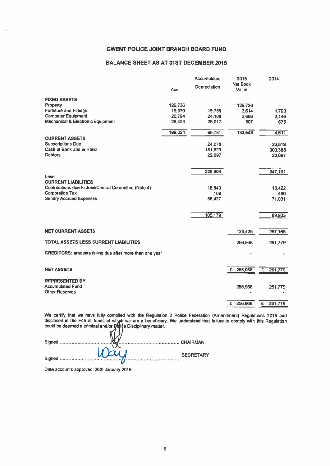# GWENT POLICE JOINT BRANCH BOARD FUND

## BALANCE SHEET AS AT 31ST DECEMBER 2015

|                                                         |         | Accumulated  | 2015                     | 2014         |
|---------------------------------------------------------|---------|--------------|--------------------------|--------------|
|                                                         | Cost    | Depreciation | <b>Net Book</b><br>Value |              |
| <b>FIXED ASSETS</b>                                     |         |              |                          |              |
| Property                                                | 126,736 |              | 126,736                  |              |
| <b>Furniture and Fittings</b>                           | 19,370  | 15,756       | 3,614                    | 1,790        |
| <b>Computer Equipment</b>                               | 26.794  | 24,108       | 2,686                    | 2,146        |
| <b>Mechanical &amp; Electronic Equipment</b>            | 26.424  | 25.917       | 507                      | 675          |
|                                                         | 199,324 | 65,781       | 133,543                  | 4,611        |
| <b>CURRENT ASSETS</b>                                   |         |              |                          |              |
| <b>Subscriptions Due</b>                                |         | 24,078       |                          | 26,619       |
| Cash at Bank and in Hand                                |         | 181,829      |                          | 300,385      |
| <b>Debtors</b>                                          |         | 22,697       |                          | 20,097       |
|                                                         |         | 228,604      |                          | 347,101      |
| Less:                                                   |         |              |                          |              |
| <b>CURRENT LIABILITIES</b>                              |         |              |                          |              |
| Contributions due to Joint/Central Committee (Note 4)   |         | 16.643       |                          | 18,422       |
| <b>Corporation Tax</b>                                  |         | 109          |                          | 480          |
| <b>Sundry Accrued Expenses</b>                          |         | 88.427       |                          | 71.031       |
|                                                         |         |              |                          |              |
|                                                         |         | 105,179      |                          | 89,933       |
|                                                         |         |              |                          |              |
| <b>NET CURRENT ASSETS</b>                               |         |              | 123,425                  | 257,168      |
| <b>TOTAL ASSETS LESS CURRENT LIABILITIES</b>            |         |              | 256,968                  | 261,779      |
|                                                         |         |              |                          |              |
| CREDITORS: amounts falling due after more than one year |         |              |                          |              |
|                                                         |         |              |                          |              |
| <b>NET ASSETS</b>                                       |         |              | £<br>256,968             | £<br>261,779 |
| <b>REPRESENTED BY</b>                                   |         |              |                          |              |
| <b>Accumulated Fund</b>                                 |         |              | 256,968                  | 261,779      |
| <b>Other Reserves</b>                                   |         |              |                          |              |
|                                                         |         |              | 256,968<br>£             | £<br>261,779 |
|                                                         |         |              |                          |              |

We certify that we have fully complied with the Regulation <sup>2</sup> Police Federation (Amendment) Regulations 2015 and disclosed in the F45 all funds of whjsh we are a beneficiary. We understand that failure to comply with this Regulation could be deemed a criminal and/or Police Disciplinary matter.

| $U\cup U$ | <b>SECRETARY</b> |
|-----------|------------------|
|           |                  |

Date accounts approved: 26th January 2016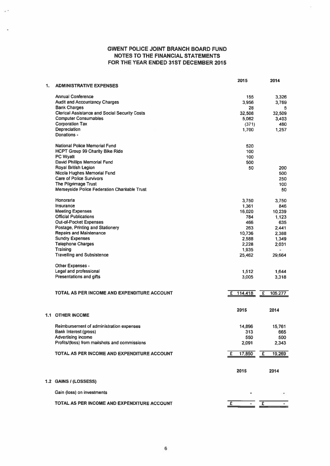# GWENT POLICE JOINT BRANCH BOARD FUND NOTES TO THE FINANCIAL STATEMENTS FOR THE YEAR ENDED 31ST DECEMBER 2015

|    |                                                      | 2015         | 2014                    |
|----|------------------------------------------------------|--------------|-------------------------|
| 1. | <b>ADMINISTRATIVE EXPENSES</b>                       |              |                         |
|    | <b>Annual Conference</b>                             | 155          | 3,326                   |
|    | <b>Audit and Accountancy Charges</b>                 | 3.956        | 3,769                   |
|    | <b>Bank Charges</b>                                  | 28           | 5                       |
|    | <b>Clerical Assistance and Social Security Costs</b> | 32,508       | 32,509                  |
|    | <b>Computer Consumables</b>                          | 5,062        | 3,403                   |
|    | <b>Corporation Tax</b>                               | (371)        | 480                     |
|    | Depreciation                                         | 1,700        | 1,257                   |
|    | Donations -                                          |              |                         |
|    | <b>National Police Memorial Fund</b>                 | 520          |                         |
|    | <b>HCPT Group 99 Charity Bike Ride</b>               | 100          |                         |
|    | <b>PC Wyatt</b>                                      | 100          |                         |
|    | David Phillips Memorial Fund                         | 500          |                         |
|    | Royal British Legion                                 | 50           | 200                     |
|    | Nicola Hughes Memorial Fund                          |              | 500                     |
|    | <b>Care of Police Survivors</b>                      |              | 250                     |
|    | The Pilgrimage Trust                                 |              | 100                     |
|    | Merseyside Police Federation Charitable Trust        |              | 50                      |
|    | Honoraria                                            | 3,750        | 3.750                   |
|    | Insurance                                            | 1,361        | 846                     |
|    | <b>Meeting Expenses</b>                              | 16,020       | 10,239                  |
|    | <b>Official Publications</b>                         | 784          | 1,123                   |
|    | <b>Out-of-Pocket Expenses</b>                        | 466          | 635                     |
|    | Postage, Printing and Stationery                     | 263          | 2.441                   |
|    | <b>Repairs and Maintenance</b>                       | 10,736       | 2,388                   |
|    | <b>Sundry Expenses</b>                               | 2.588        | 1,349                   |
|    | <b>Telephone Charges</b>                             | 2,228        | 2,031                   |
|    | <b>Training</b>                                      | 1,935        | ×.                      |
|    | <b>Travelling and Subsistence</b>                    | 25,462       | 29,664                  |
|    |                                                      |              |                         |
|    | Other Expenses -                                     |              |                         |
|    | Legal and professional                               | 1,512        | 1,644                   |
|    | <b>Presentations and gifts</b>                       | 3,005        | 3,318                   |
|    |                                                      |              |                         |
|    | TOTAL AS PER INCOME AND EXPENDITURE ACCOUNT          | 114,418<br>£ | $\mathbf{E}$<br>105,277 |
|    |                                                      |              |                         |
|    |                                                      | 2015         | 2014                    |
|    | <b>1.1 OTHER INCOME</b>                              |              |                         |
|    | Reimbursement of administration expenses             | 14,896       | 15,761                  |
|    | <b>Bank Interest (gross)</b>                         | 313          | 665                     |
|    | Advertising income                                   | 550          | 500                     |
|    | Profits/(loss) from mailshots and commissions        | 2,091        | 2,343                   |
|    |                                                      |              |                         |
|    | TOTAL AS PER INCOME AND EXPENDITURE ACCOUNT.         | £<br>17,850  | 19,269<br>E             |
|    |                                                      |              |                         |
|    |                                                      | 2015         | 2014                    |
|    | 1.2 GAINS / (LOSSESS)                                |              |                         |
|    |                                                      |              |                         |
|    | Gain (loss) on investments                           |              |                         |
|    | TOTAL AS PER INCOME AND EXPENDITURE ACCOUNT          | 王            | $\overline{f}$          |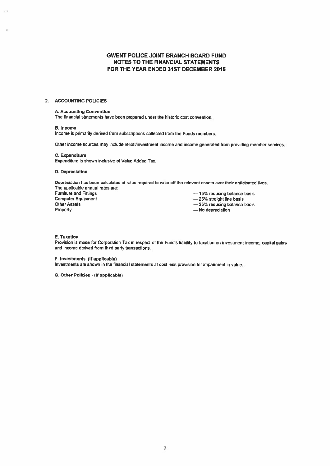# GWENT POLICE JOINT BRANCH BOARD FUND NOTES TO THE FINANCiAL STATEMENTS FOR THE YEAR ENDED 31ST DECEMBER 2015

### 2. ACCOUNTING POLICIES

### A. Accounting Convention

The financial statements have been prepared under the historic cost convention.

### S. Income

Income is primarily derived from subscriptions collected from the Funds members.

Other income sources may include rental/investment income and income generated from providing member services.

## C. Expenditure Expenditure is shown inclusive of Value Added Tax.

## D. Depreciation

Depreciation has been calculated at rates required to write off the relevant assets over their anticipated lives. The applicable annual rates are:

Computer Equipment — 25% straight line basis<br>
Other Assets<br>
— 25% reducing balance Other Assets — 25% reducing balance basis<br>
Property — No depreciation

Furniture and Fittings<br>
Computer Equipment<br>  $-25%$  straight line basis

- 
- $-$  No depreciation
- 

### E. Taxation

Provision is made for Corporation Tax in respect of the Fund's liability to taxation on investment income, capital gains and income derived from third party transactions.

### F. Investments (If applicable)

Investments are shown in the financial statements at cost less provision for impairment in value.

0. Other Policies - (if applicable)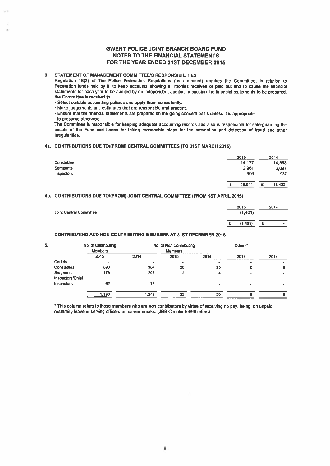# GWENT POLICE JOINT BRANCH BOARD FUND NOTES TO THE FINANCIAL STATEMENTS FOR THE YEAR ENDED 31ST DECEMBER 2015

### 3. STATEMENT OF MANAGEMENT COMMITTEE'S RESPONSIBILITIES

Regulation 18(2) of The Police Federation Regulations (as amended) requires the Committee, in relation to Federation funds held by it, to keep accounts showing all monies received or paid out and to cause the financial statements for each year to be audited by an independent auditor. In causing the financial statements to be prepared, the Committee is required to:

• Select suitable accounting policies and apply them consistently.

• Make judgements and estimates that are reasonable and prudent.

• Ensure that the financial statements are prepared on the going concern basis unless it is appropriate

to presume otherwise.

The Committee is responsible for keeping adequate accounting records and also is responsible for safe-guarding the assets of the Fund and hence for taking reasonable steps for the prevention and detection of fraud and other irregularities.

### 4a. CONTRIBUTIONS DUE TO/(FROM) CENTRAL COMMITTEES (TO 31ST MARCH 2015)

| <b>Constables</b> | 2015<br>14,177 | 2014<br>14,388 |
|-------------------|----------------|----------------|
| Sergeants         | 2,961          | 3,097          |
| Inspectors        | 906            | 937            |
|                   | 18,044         | 18,422<br>c    |

### 4b. CONTRIBUTIONS DUE TO/(FROM) JOINT CENTRAL COMMITTEE (FROM 1ST APRIL 2015)

| <b>Joint Central Committee</b> |  | 2015<br>(1,401) | 2014 | $\bullet$ |
|--------------------------------|--|-----------------|------|-----------|
|                                |  | (1, 401)        |      | $\bullet$ |

### CONTRIBUTING AND NON CONTRIBUTING MEMBERS AT 31ST DECEMBER 2015

|                               | No. of Contributing<br><b>Members</b> |       | No. of Non Contributing<br><b>Members</b> |      | Others* |      |
|-------------------------------|---------------------------------------|-------|-------------------------------------------|------|---------|------|
|                               | 2015                                  | 2014  | 2015                                      | 2014 | 2015    | 2014 |
| <b>Cadets</b>                 | $\blacksquare$                        |       |                                           | ۰    |         |      |
| <b>Constables</b>             | 890                                   | 964   | 20                                        | 25   | o       | 8    |
| Sergeants<br>Inspectors/Chief | 178                                   | 205   |                                           |      |         |      |
| Inspectors                    | 62                                    | 76    |                                           |      |         |      |
|                               | 1.130                                 | 1.245 | 22                                        | 29   |         |      |

• This column refers to those members who are non contributors by virtue of receiving no pay, being on unpaid maternity leave or serving officers on career breaks. (JBB Circular 53/96 refers)